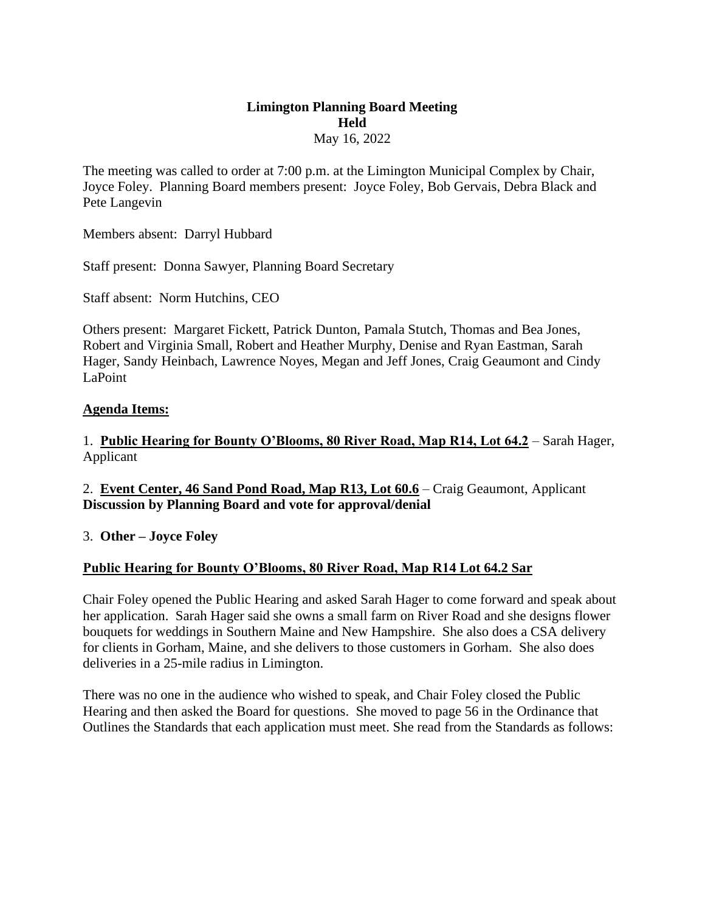#### **Limington Planning Board Meeting Held**  May 16, 2022

The meeting was called to order at 7:00 p.m. at the Limington Municipal Complex by Chair, Joyce Foley. Planning Board members present: Joyce Foley, Bob Gervais, Debra Black and Pete Langevin

Members absent: Darryl Hubbard

Staff present: Donna Sawyer, Planning Board Secretary

Staff absent: Norm Hutchins, CEO

Others present: Margaret Fickett, Patrick Dunton, Pamala Stutch, Thomas and Bea Jones, Robert and Virginia Small, Robert and Heather Murphy, Denise and Ryan Eastman, Sarah Hager, Sandy Heinbach, Lawrence Noyes, Megan and Jeff Jones, Craig Geaumont and Cindy LaPoint

#### **Agenda Items:**

1. **Public Hearing for Bounty O'Blooms, 80 River Road, Map R14, Lot 64.2** – Sarah Hager, Applicant

2. **Event Center, 46 Sand Pond Road, Map R13, Lot 60.6** – Craig Geaumont, Applicant **Discussion by Planning Board and vote for approval/denial**

3. **Other – Joyce Foley**

#### **Public Hearing for Bounty O'Blooms, 80 River Road, Map R14 Lot 64.2 Sar**

Chair Foley opened the Public Hearing and asked Sarah Hager to come forward and speak about her application. Sarah Hager said she owns a small farm on River Road and she designs flower bouquets for weddings in Southern Maine and New Hampshire. She also does a CSA delivery for clients in Gorham, Maine, and she delivers to those customers in Gorham. She also does deliveries in a 25-mile radius in Limington.

There was no one in the audience who wished to speak, and Chair Foley closed the Public Hearing and then asked the Board for questions. She moved to page 56 in the Ordinance that Outlines the Standards that each application must meet. She read from the Standards as follows: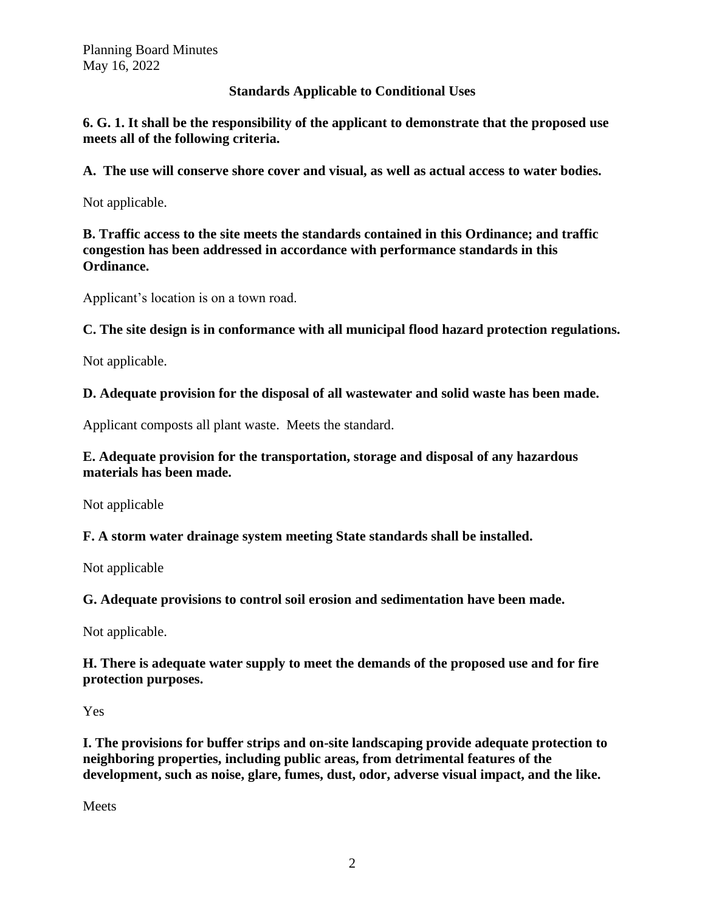# **Standards Applicable to Conditional Uses**

**6. G. 1. It shall be the responsibility of the applicant to demonstrate that the proposed use meets all of the following criteria.** 

**A. The use will conserve shore cover and visual, as well as actual access to water bodies.**

Not applicable.

**B. Traffic access to the site meets the standards contained in this Ordinance; and traffic congestion has been addressed in accordance with performance standards in this Ordinance.** 

Applicant's location is on a town road.

**C. The site design is in conformance with all municipal flood hazard protection regulations.** 

Not applicable.

**D. Adequate provision for the disposal of all wastewater and solid waste has been made.** 

Applicant composts all plant waste. Meets the standard.

# **E. Adequate provision for the transportation, storage and disposal of any hazardous materials has been made.**

Not applicable

**F. A storm water drainage system meeting State standards shall be installed.** 

Not applicable

**G. Adequate provisions to control soil erosion and sedimentation have been made.** 

Not applicable.

**H. There is adequate water supply to meet the demands of the proposed use and for fire protection purposes.** 

Yes

**I. The provisions for buffer strips and on-site landscaping provide adequate protection to neighboring properties, including public areas, from detrimental features of the development, such as noise, glare, fumes, dust, odor, adverse visual impact, and the like.** 

**Meets**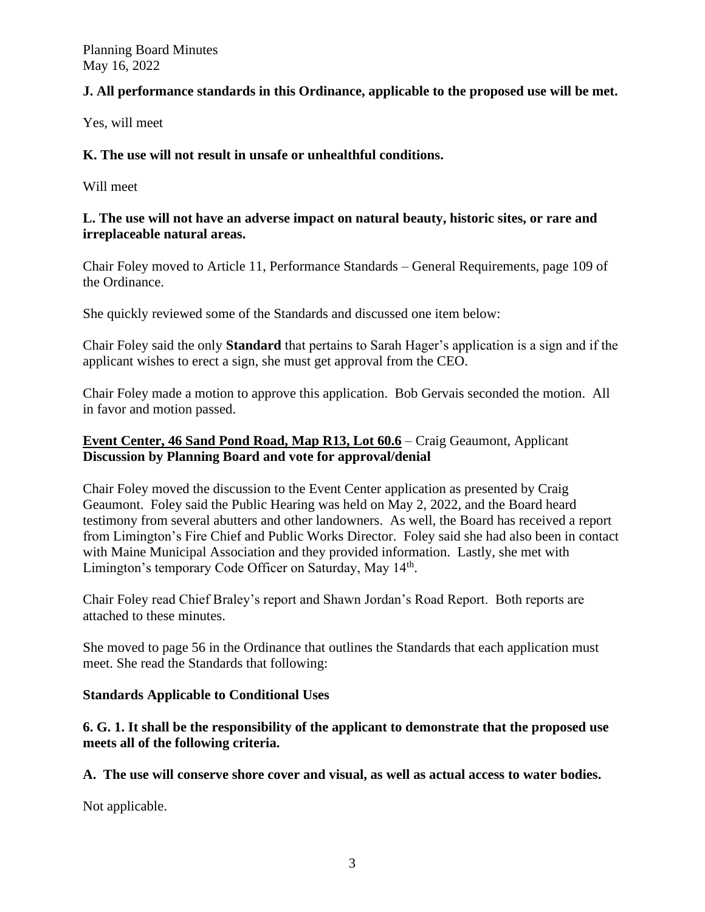# **J. All performance standards in this Ordinance, applicable to the proposed use will be met.**

Yes, will meet

# **K. The use will not result in unsafe or unhealthful conditions.**

Will meet

# **L. The use will not have an adverse impact on natural beauty, historic sites, or rare and irreplaceable natural areas.**

Chair Foley moved to Article 11, Performance Standards – General Requirements, page 109 of the Ordinance.

She quickly reviewed some of the Standards and discussed one item below:

Chair Foley said the only **Standard** that pertains to Sarah Hager's application is a sign and if the applicant wishes to erect a sign, she must get approval from the CEO.

Chair Foley made a motion to approve this application. Bob Gervais seconded the motion. All in favor and motion passed.

# **Event Center, 46 Sand Pond Road, Map R13, Lot 60.6** – Craig Geaumont, Applicant **Discussion by Planning Board and vote for approval/denial**

Chair Foley moved the discussion to the Event Center application as presented by Craig Geaumont. Foley said the Public Hearing was held on May 2, 2022, and the Board heard testimony from several abutters and other landowners. As well, the Board has received a report from Limington's Fire Chief and Public Works Director. Foley said she had also been in contact with Maine Municipal Association and they provided information. Lastly, she met with Limington's temporary Code Officer on Saturday, May 14<sup>th</sup>.

Chair Foley read Chief Braley's report and Shawn Jordan's Road Report. Both reports are attached to these minutes.

She moved to page 56 in the Ordinance that outlines the Standards that each application must meet. She read the Standards that following:

# **Standards Applicable to Conditional Uses**

**6. G. 1. It shall be the responsibility of the applicant to demonstrate that the proposed use meets all of the following criteria.** 

**A. The use will conserve shore cover and visual, as well as actual access to water bodies.** 

Not applicable.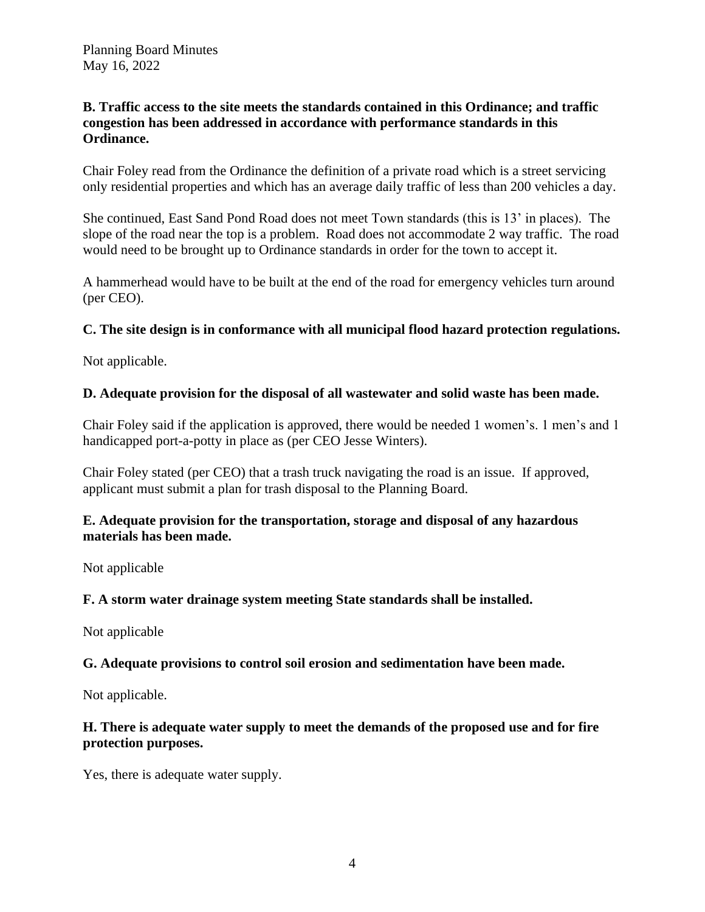## **B. Traffic access to the site meets the standards contained in this Ordinance; and traffic congestion has been addressed in accordance with performance standards in this Ordinance.**

Chair Foley read from the Ordinance the definition of a private road which is a street servicing only residential properties and which has an average daily traffic of less than 200 vehicles a day.

She continued, East Sand Pond Road does not meet Town standards (this is 13' in places). The slope of the road near the top is a problem. Road does not accommodate 2 way traffic. The road would need to be brought up to Ordinance standards in order for the town to accept it.

A hammerhead would have to be built at the end of the road for emergency vehicles turn around (per CEO).

## **C. The site design is in conformance with all municipal flood hazard protection regulations.**

Not applicable.

## **D. Adequate provision for the disposal of all wastewater and solid waste has been made.**

Chair Foley said if the application is approved, there would be needed 1 women's. 1 men's and 1 handicapped port-a-potty in place as (per CEO Jesse Winters).

Chair Foley stated (per CEO) that a trash truck navigating the road is an issue. If approved, applicant must submit a plan for trash disposal to the Planning Board.

## **E. Adequate provision for the transportation, storage and disposal of any hazardous materials has been made.**

Not applicable

#### **F. A storm water drainage system meeting State standards shall be installed.**

Not applicable

#### **G. Adequate provisions to control soil erosion and sedimentation have been made.**

Not applicable.

## **H. There is adequate water supply to meet the demands of the proposed use and for fire protection purposes.**

Yes, there is adequate water supply.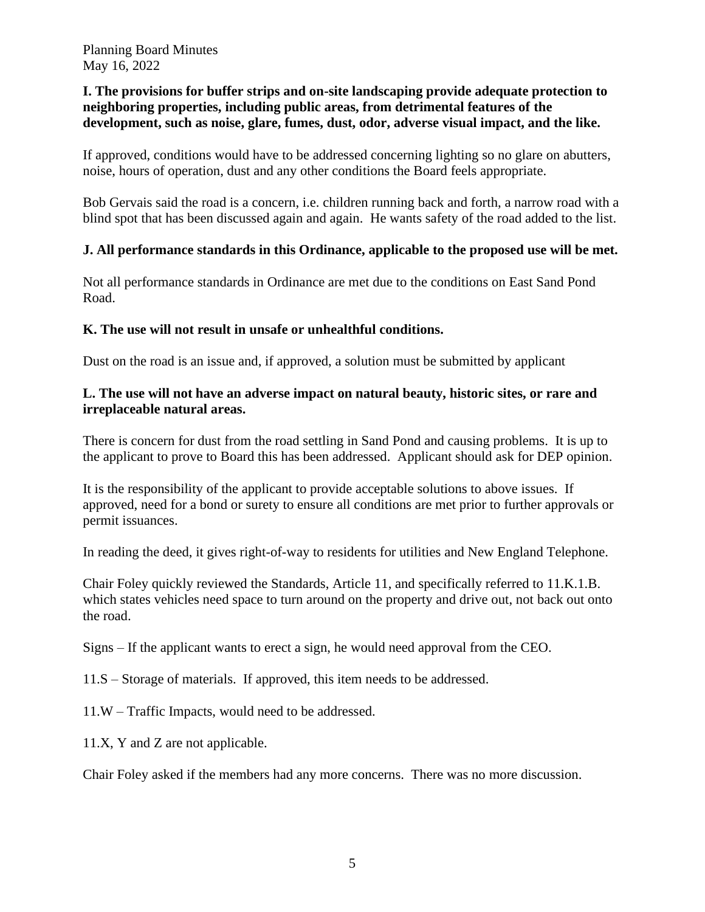## **I. The provisions for buffer strips and on-site landscaping provide adequate protection to neighboring properties, including public areas, from detrimental features of the development, such as noise, glare, fumes, dust, odor, adverse visual impact, and the like.**

If approved, conditions would have to be addressed concerning lighting so no glare on abutters, noise, hours of operation, dust and any other conditions the Board feels appropriate.

Bob Gervais said the road is a concern, i.e. children running back and forth, a narrow road with a blind spot that has been discussed again and again. He wants safety of the road added to the list.

## **J. All performance standards in this Ordinance, applicable to the proposed use will be met.**

Not all performance standards in Ordinance are met due to the conditions on East Sand Pond Road.

#### **K. The use will not result in unsafe or unhealthful conditions.**

Dust on the road is an issue and, if approved, a solution must be submitted by applicant

## **L. The use will not have an adverse impact on natural beauty, historic sites, or rare and irreplaceable natural areas.**

There is concern for dust from the road settling in Sand Pond and causing problems. It is up to the applicant to prove to Board this has been addressed. Applicant should ask for DEP opinion.

It is the responsibility of the applicant to provide acceptable solutions to above issues. If approved, need for a bond or surety to ensure all conditions are met prior to further approvals or permit issuances.

In reading the deed, it gives right-of-way to residents for utilities and New England Telephone.

Chair Foley quickly reviewed the Standards, Article 11, and specifically referred to 11.K.1.B. which states vehicles need space to turn around on the property and drive out, not back out onto the road.

Signs – If the applicant wants to erect a sign, he would need approval from the CEO.

11.S – Storage of materials. If approved, this item needs to be addressed.

11.W – Traffic Impacts, would need to be addressed.

11.X, Y and Z are not applicable.

Chair Foley asked if the members had any more concerns. There was no more discussion.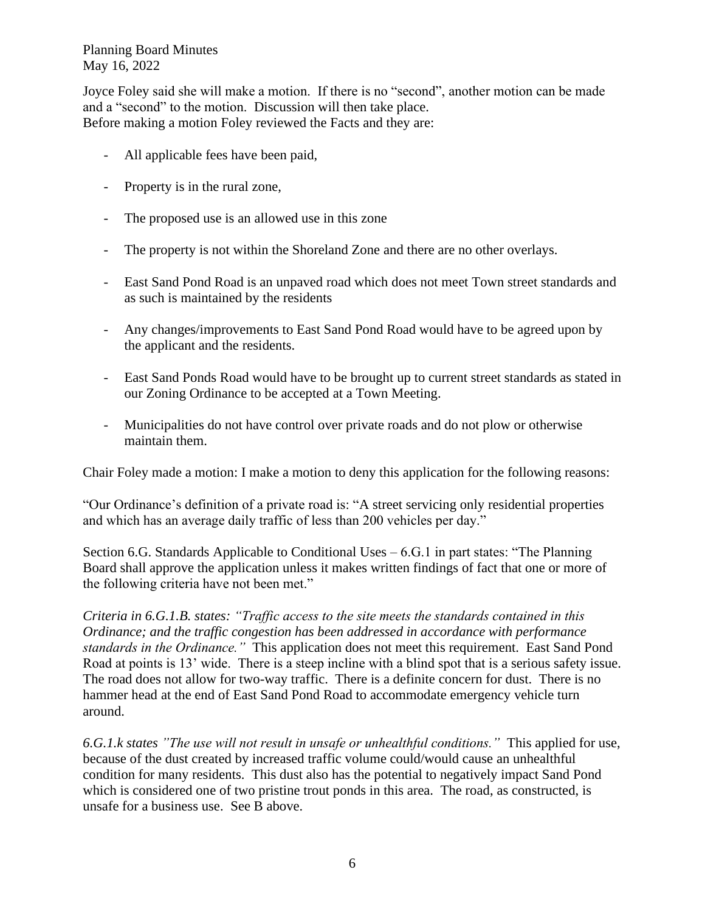Joyce Foley said she will make a motion. If there is no "second", another motion can be made and a "second" to the motion. Discussion will then take place. Before making a motion Foley reviewed the Facts and they are:

- All applicable fees have been paid,
- Property is in the rural zone,
- The proposed use is an allowed use in this zone
- The property is not within the Shoreland Zone and there are no other overlays.
- East Sand Pond Road is an unpaved road which does not meet Town street standards and as such is maintained by the residents
- Any changes/improvements to East Sand Pond Road would have to be agreed upon by the applicant and the residents.
- East Sand Ponds Road would have to be brought up to current street standards as stated in our Zoning Ordinance to be accepted at a Town Meeting.
- Municipalities do not have control over private roads and do not plow or otherwise maintain them.

Chair Foley made a motion: I make a motion to deny this application for the following reasons:

"Our Ordinance's definition of a private road is: "A street servicing only residential properties and which has an average daily traffic of less than 200 vehicles per day."

Section 6.G. Standards Applicable to Conditional Uses – 6.G.1 in part states: "The Planning Board shall approve the application unless it makes written findings of fact that one or more of the following criteria have not been met."

*Criteria in 6.G.1.B. states: "Traffic access to the site meets the standards contained in this Ordinance; and the traffic congestion has been addressed in accordance with performance standards in the Ordinance."* This application does not meet this requirement. East Sand Pond Road at points is 13' wide. There is a steep incline with a blind spot that is a serious safety issue. The road does not allow for two-way traffic. There is a definite concern for dust. There is no hammer head at the end of East Sand Pond Road to accommodate emergency vehicle turn around.

*6.G.1.k states "The use will not result in unsafe or unhealthful conditions."* This applied for use, because of the dust created by increased traffic volume could/would cause an unhealthful condition for many residents. This dust also has the potential to negatively impact Sand Pond which is considered one of two pristine trout ponds in this area. The road, as constructed, is unsafe for a business use. See B above.